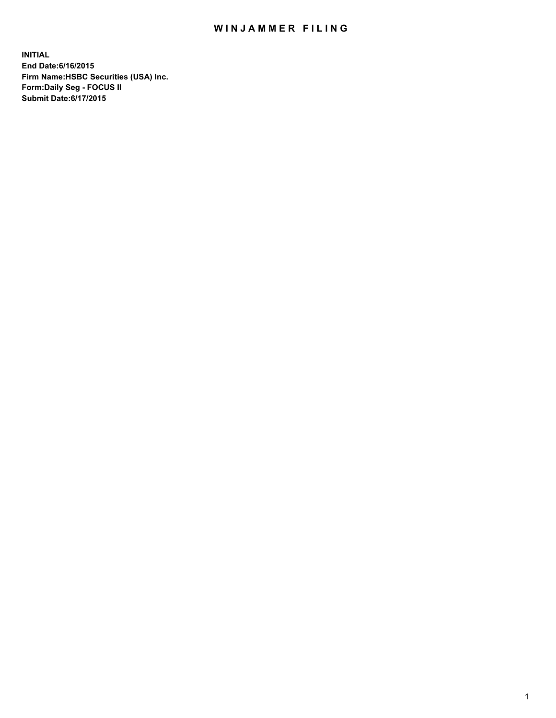## WIN JAMMER FILING

**INITIAL End Date:6/16/2015 Firm Name:HSBC Securities (USA) Inc. Form:Daily Seg - FOCUS II Submit Date:6/17/2015**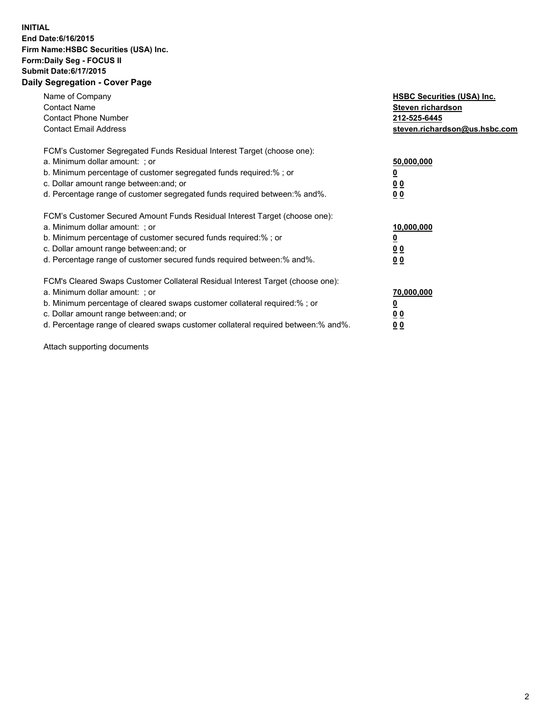## **INITIAL End Date:6/16/2015 Firm Name:HSBC Securities (USA) Inc. Form:Daily Seg - FOCUS II Submit Date:6/17/2015 Daily Segregation - Cover Page**

| Name of Company<br><b>Contact Name</b><br><b>Contact Phone Number</b><br><b>Contact Email Address</b>                                                                                                                                                                                                                         | <b>HSBC Securities (USA) Inc.</b><br>Steven richardson<br>212-525-6445<br>steven.richardson@us.hsbc.com |
|-------------------------------------------------------------------------------------------------------------------------------------------------------------------------------------------------------------------------------------------------------------------------------------------------------------------------------|---------------------------------------------------------------------------------------------------------|
| FCM's Customer Segregated Funds Residual Interest Target (choose one):<br>a. Minimum dollar amount: ; or<br>b. Minimum percentage of customer segregated funds required:%; or<br>c. Dollar amount range between: and; or<br>d. Percentage range of customer segregated funds required between:% and%.                         | 50,000,000<br>00<br>0 <sub>0</sub>                                                                      |
| FCM's Customer Secured Amount Funds Residual Interest Target (choose one):<br>a. Minimum dollar amount: ; or<br>b. Minimum percentage of customer secured funds required:%; or<br>c. Dollar amount range between: and; or<br>d. Percentage range of customer secured funds required between:% and%.                           | 10,000,000<br>0 <sub>0</sub><br>00                                                                      |
| FCM's Cleared Swaps Customer Collateral Residual Interest Target (choose one):<br>a. Minimum dollar amount: ; or<br>b. Minimum percentage of cleared swaps customer collateral required:%; or<br>c. Dollar amount range between: and; or<br>d. Percentage range of cleared swaps customer collateral required between:% and%. | 70,000,000<br><u>00</u><br><u>00</u>                                                                    |

Attach supporting documents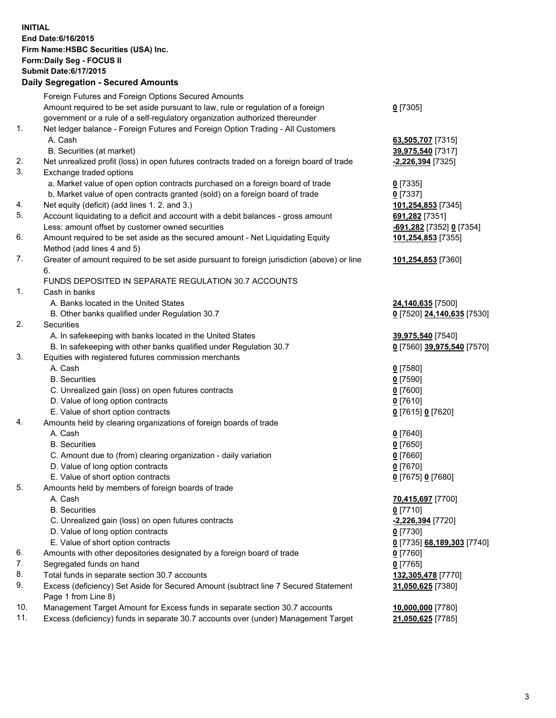**INITIAL End Date:6/16/2015 Firm Name:HSBC Securities (USA) Inc. Form:Daily Seg - FOCUS II Submit Date:6/17/2015 Daily Segregation - Secured Amounts**

|     | Dany Oogregation - Oecarea Amounts                                                          |                            |
|-----|---------------------------------------------------------------------------------------------|----------------------------|
|     | Foreign Futures and Foreign Options Secured Amounts                                         |                            |
|     | Amount required to be set aside pursuant to law, rule or regulation of a foreign            | $0$ [7305]                 |
|     | government or a rule of a self-regulatory organization authorized thereunder                |                            |
| 1.  | Net ledger balance - Foreign Futures and Foreign Option Trading - All Customers             |                            |
|     | A. Cash                                                                                     | 63,505,707 [7315]          |
|     | B. Securities (at market)                                                                   | 39,975,540 [7317]          |
| 2.  | Net unrealized profit (loss) in open futures contracts traded on a foreign board of trade   | <u>-2,226,394</u> [7325]   |
| 3.  | Exchange traded options                                                                     |                            |
|     | a. Market value of open option contracts purchased on a foreign board of trade              | $0$ [7335]                 |
|     | b. Market value of open contracts granted (sold) on a foreign board of trade                | $0$ [7337]                 |
| 4.  | Net equity (deficit) (add lines 1.2. and 3.)                                                | 101,254,853 [7345]         |
| 5.  | Account liquidating to a deficit and account with a debit balances - gross amount           | 691,282 [7351]             |
|     | Less: amount offset by customer owned securities                                            | -691,282 [7352] 0 [7354]   |
| 6.  | Amount required to be set aside as the secured amount - Net Liquidating Equity              | 101,254,853 [7355]         |
|     | Method (add lines 4 and 5)                                                                  |                            |
| 7.  | Greater of amount required to be set aside pursuant to foreign jurisdiction (above) or line | 101,254,853 [7360]         |
|     | 6.                                                                                          |                            |
|     | FUNDS DEPOSITED IN SEPARATE REGULATION 30.7 ACCOUNTS                                        |                            |
| 1.  | Cash in banks                                                                               |                            |
|     | A. Banks located in the United States                                                       | 24,140,635 [7500]          |
|     | B. Other banks qualified under Regulation 30.7                                              | 0 [7520] 24,140,635 [7530] |
| 2.  | Securities                                                                                  |                            |
|     | A. In safekeeping with banks located in the United States                                   | 39,975,540 [7540]          |
|     | B. In safekeeping with other banks qualified under Regulation 30.7                          | 0 [7560] 39,975,540 [7570] |
| 3.  | Equities with registered futures commission merchants                                       |                            |
|     | A. Cash                                                                                     | $0$ [7580]                 |
|     | <b>B.</b> Securities                                                                        | $0$ [7590]                 |
|     | C. Unrealized gain (loss) on open futures contracts                                         | $0$ [7600]                 |
|     | D. Value of long option contracts                                                           | $0$ [7610]                 |
|     | E. Value of short option contracts                                                          | 0 [7615] 0 [7620]          |
| 4.  | Amounts held by clearing organizations of foreign boards of trade                           |                            |
|     | A. Cash                                                                                     | $0$ [7640]                 |
|     | <b>B.</b> Securities                                                                        | $0$ [7650]                 |
|     | C. Amount due to (from) clearing organization - daily variation                             | <u>0</u> [7660]            |
|     | D. Value of long option contracts                                                           | $0$ [7670]                 |
|     | E. Value of short option contracts                                                          | 0 [7675] 0 [7680]          |
| 5.  | Amounts held by members of foreign boards of trade                                          |                            |
|     | A. Cash                                                                                     | 70,415,697 [7700]          |
|     | <b>B.</b> Securities                                                                        | $0$ [7710]                 |
|     | C. Unrealized gain (loss) on open futures contracts                                         | -2,226,394 [7720]          |
|     | D. Value of long option contracts                                                           | $0$ [7730]                 |
|     | E. Value of short option contracts                                                          | 0 [7735] 68,189,303 [7740] |
| 6.  | Amounts with other depositories designated by a foreign board of trade                      | 0 [7760]                   |
| 7.  | Segregated funds on hand                                                                    | $0$ [7765]                 |
| 8.  | Total funds in separate section 30.7 accounts                                               | 132,305,478 [7770]         |
| 9.  | Excess (deficiency) Set Aside for Secured Amount (subtract line 7 Secured Statement         | 31,050,625 [7380]          |
|     | Page 1 from Line 8)                                                                         |                            |
| 10. | Management Target Amount for Excess funds in separate section 30.7 accounts                 | 10,000,000 [7780]          |
| 11. | Excess (deficiency) funds in separate 30.7 accounts over (under) Management Target          | 21,050,625 [7785]          |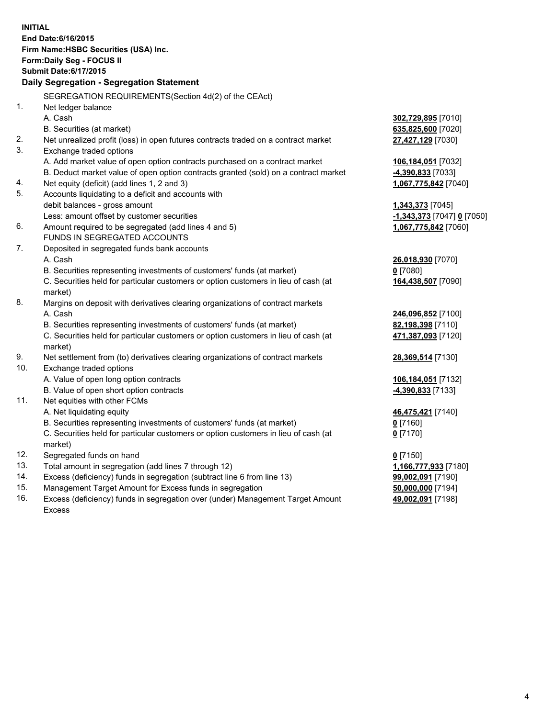| <b>INITIAL</b> | End Date: 6/16/2015<br>Firm Name: HSBC Securities (USA) Inc.<br>Form: Daily Seg - FOCUS II     |                            |
|----------------|------------------------------------------------------------------------------------------------|----------------------------|
|                | <b>Submit Date:6/17/2015</b>                                                                   |                            |
|                | Daily Segregation - Segregation Statement                                                      |                            |
|                | SEGREGATION REQUIREMENTS(Section 4d(2) of the CEAct)                                           |                            |
| 1.             | Net ledger balance                                                                             |                            |
|                | A. Cash                                                                                        | 302,729,895 [7010]         |
|                | B. Securities (at market)                                                                      | 635,825,600 [7020]         |
| 2.             | Net unrealized profit (loss) in open futures contracts traded on a contract market             | 27,427,129 [7030]          |
| 3.             | Exchange traded options                                                                        |                            |
|                | A. Add market value of open option contracts purchased on a contract market                    | 106,184,051 [7032]         |
|                | B. Deduct market value of open option contracts granted (sold) on a contract market            | 4,390,833 [7033]           |
| 4.             | Net equity (deficit) (add lines 1, 2 and 3)                                                    | 1,067,775,842 [7040]       |
| 5.             | Accounts liquidating to a deficit and accounts with                                            |                            |
|                | debit balances - gross amount                                                                  | <b>1,343,373</b> [7045]    |
|                | Less: amount offset by customer securities                                                     | -1,343,373 [7047] 0 [7050] |
| 6.             | Amount required to be segregated (add lines 4 and 5)                                           | 1,067,775,842 [7060]       |
|                | FUNDS IN SEGREGATED ACCOUNTS                                                                   |                            |
| 7.             | Deposited in segregated funds bank accounts                                                    |                            |
|                | A. Cash                                                                                        | 26,018,930 [7070]          |
|                | B. Securities representing investments of customers' funds (at market)                         | $0$ [7080]                 |
|                | C. Securities held for particular customers or option customers in lieu of cash (at<br>market) | 164,438,507 [7090]         |
| 8.             | Margins on deposit with derivatives clearing organizations of contract markets                 |                            |
|                | A. Cash                                                                                        | 246,096,852 [7100]         |
|                | B. Securities representing investments of customers' funds (at market)                         | 82,198,398 [7110]          |
|                | C. Securities held for particular customers or option customers in lieu of cash (at<br>market) | 471,387,093 [7120]         |
| 9.             | Net settlement from (to) derivatives clearing organizations of contract markets                | 28,369,514 [7130]          |
| 10.            | Exchange traded options                                                                        |                            |
|                | A. Value of open long option contracts                                                         | 106,184,051 [7132]         |
|                | B. Value of open short option contracts                                                        | -4,390,833 [7133]          |
| 11.            | Net equities with other FCMs                                                                   |                            |
|                | A. Net liquidating equity                                                                      | 46,475,421 [7140]          |
|                | B. Securities representing investments of customers' funds (at market)                         | <u>0</u> [7160]            |
|                | C. Securities held for particular customers or option customers in lieu of cash (at<br>market) | $0$ [7170]                 |
| 12.            | Segregated funds on hand                                                                       | $0$ [7150]                 |
| 13.            | Total amount in segregation (add lines 7 through 12)                                           | 1,166,777,933 [7180]       |
| 14.            | Excess (deficiency) funds in segregation (subtract line 6 from line 13)                        | 99,002,091 [7190]          |
| 15.            | Management Target Amount for Excess funds in segregation                                       | 50,000,000 [7194]          |
| 16.            | Excess (deficiency) funds in segregation over (under) Management Target Amount                 | 49,002,091 [7198]          |

16. Excess (deficiency) funds in segregation over (under) Management Target Amount Excess